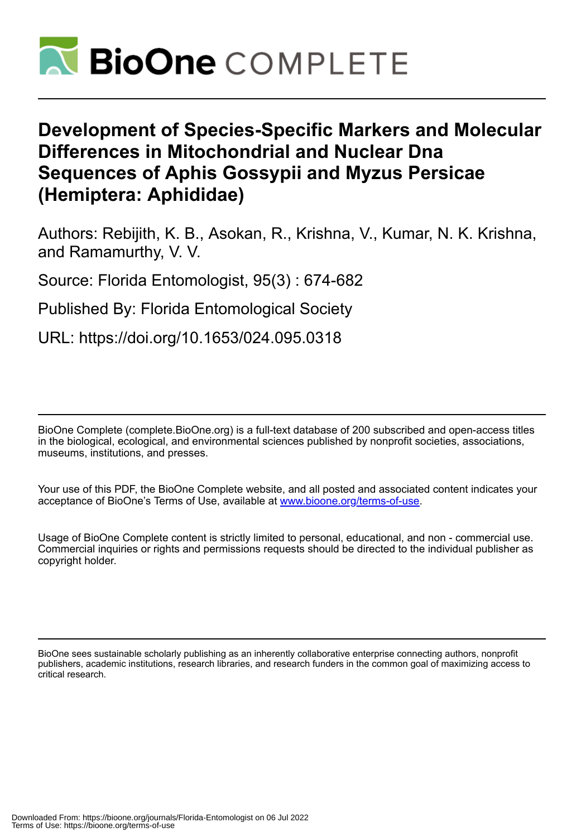

# **Development of Species-Specific Markers and Molecular Differences in Mitochondrial and Nuclear Dna Sequences of Aphis Gossypii and Myzus Persicae (Hemiptera: Aphididae)**

Authors: Rebijith, K. B., Asokan, R., Krishna, V., Kumar, N. K. Krishna, and Ramamurthy, V. V.

Source: Florida Entomologist, 95(3) : 674-682

Published By: Florida Entomological Society

URL: https://doi.org/10.1653/024.095.0318

BioOne Complete (complete.BioOne.org) is a full-text database of 200 subscribed and open-access titles in the biological, ecological, and environmental sciences published by nonprofit societies, associations, museums, institutions, and presses.

Your use of this PDF, the BioOne Complete website, and all posted and associated content indicates your acceptance of BioOne's Terms of Use, available at www.bioone.org/terms-of-use.

Usage of BioOne Complete content is strictly limited to personal, educational, and non - commercial use. Commercial inquiries or rights and permissions requests should be directed to the individual publisher as copyright holder.

BioOne sees sustainable scholarly publishing as an inherently collaborative enterprise connecting authors, nonprofit publishers, academic institutions, research libraries, and research funders in the common goal of maximizing access to critical research.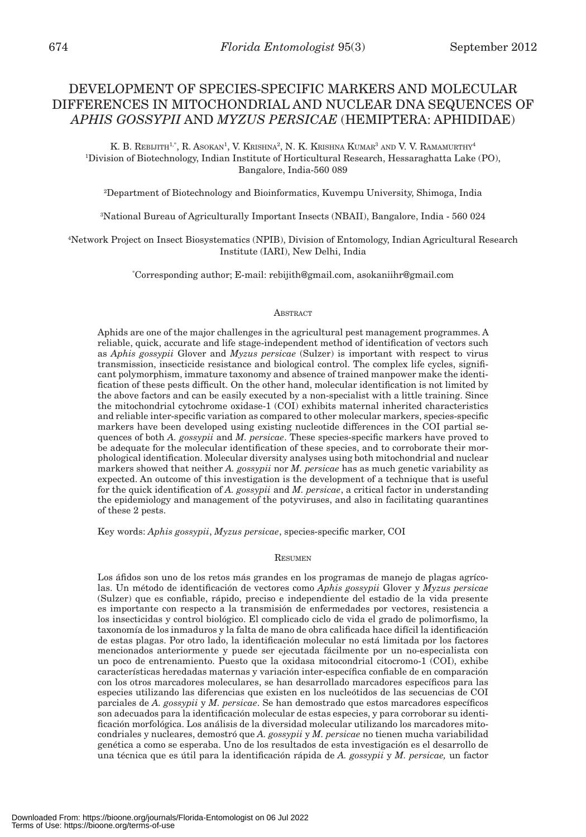# DEVELOPMENT OF SPECIES-SPECIFIC MARKERS AND MOLECULAR DIFFERENCES IN MITOCHONDRIAL AND NUCLEAR DNA SEQUENCES OF *APHIS GOSSYPII* AND *MYZUS PERSICAE* (HEMIPTERA: APHIDIDAE)

K. B. REBIJITH<sup>1,\*</sup>, R. Asokan<sup>1</sup>, V. Krishna<sup>2</sup>, N. K. Krishna Kumar<sup>3</sup> and V. V. Ramamurthy<sup>4</sup> 1 Division of Biotechnology, Indian Institute of Horticultural Research, Hessaraghatta Lake (PO), Bangalore, India-560 089

2 Department of Biotechnology and Bioinformatics, Kuvempu University, Shimoga, India

3 National Bureau of Agriculturally Important Insects (NBAII), Bangalore, India - 560 024

4 Network Project on Insect Biosystematics (NPIB), Division of Entomology, Indian Agricultural Research Institute (IARI), New Delhi, India

\* Corresponding author; E-mail: rebijith@gmail.com, asokaniihr@gmail.com

#### **ABSTRACT**

Aphids are one of the major challenges in the agricultural pest management programmes. A reliable, quick, accurate and life stage-independent method of identification of vectors such as *Aphis gossypii* Glover and *Myzus persicae* (Sulzer) is important with respect to virus transmission, insecticide resistance and biological control. The complex life cycles, significant polymorphism, immature taxonomy and absence of trained manpower make the identification of these pests difficult. On the other hand, molecular identification is not limited by the above factors and can be easily executed by a non-specialist with a little training. Since the mitochondrial cytochrome oxidase-1 (COI) exhibits maternal inherited characteristics and reliable inter-specific variation as compared to other molecular markers, species-specific markers have been developed using existing nucleotide differences in the COI partial sequences of both *A. gossypii* and *M. persicae*. These species-specific markers have proved to be adequate for the molecular identification of these species, and to corroborate their morphological identification. Molecular diversity analyses using both mitochondrial and nuclear markers showed that neither *A. gossypii* nor *M. persicae* has as much genetic variability as expected. An outcome of this investigation is the development of a technique that is useful for the quick identification of *A. gossypii* and *M. persicae*, a critical factor in understanding the epidemiology and management of the potyviruses, and also in facilitating quarantines of these 2 pests.

Key words: *Aphis gossypii*, *Myzus persicae*, species-specific marker, COI

#### **RESUMEN**

Los áfidos son uno de los retos más grandes en los programas de manejo de plagas agrícolas. Un método de identificación de vectores como *Aphis gossypii* Glover y *Myzus persicae* (Sulzer) que es confiable, rápido, preciso e independiente del estadio de la vida presente es importante con respecto a la transmisión de enfermedades por vectores, resistencia a los insecticidas y control biológico. El complicado ciclo de vida el grado de polimorfismo, la taxonomía de los inmaduros y la falta de mano de obra calificada hace difícil la identificación de estas plagas. Por otro lado, la identificación molecular no está limitada por los factores mencionados anteriormente y puede ser ejecutada fácilmente por un no-especialista con un poco de entrenamiento. Puesto que la oxidasa mitocondrial citocromo-1 (COI), exhibe características heredadas maternas y variación inter-específica confiable de en comparación con los otros marcadores moleculares, se han desarrollado marcadores específicos para las especies utilizando las diferencias que existen en los nucleótidos de las secuencias de COI parciales de *A. gossypii* y *M. persicae*. Se han demostrado que estos marcadores específicos son adecuados para la identificación molecular de estas especies, y para corroborar su identificación morfológica. Los análisis de la diversidad molecular utilizando los marcadores mitocondriales y nucleares, demostró que *A. gossypii* y *M. persicae* no tienen mucha variabilidad genética a como se esperaba. Uno de los resultados de esta investigación es el desarrollo de una técnica que es útil para la identificación rápida de *A. gossypii* y *M. persicae,* un factor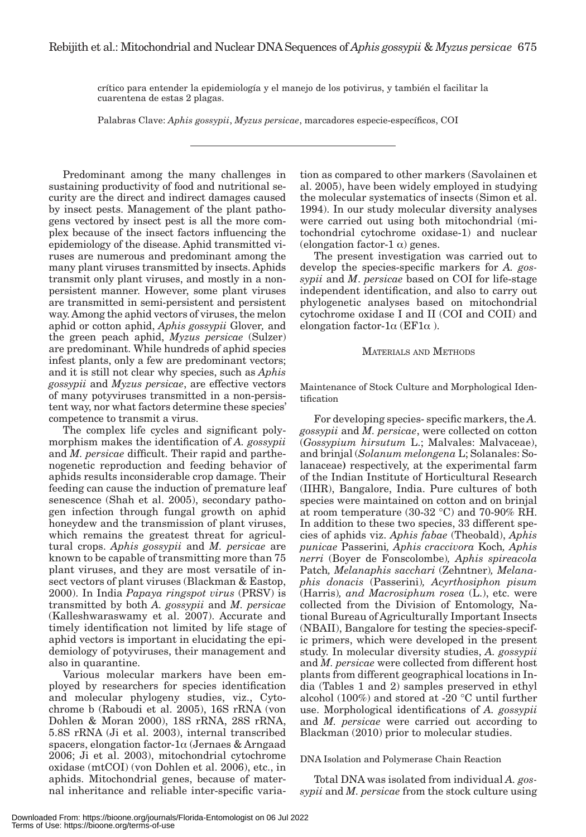crítico para entender la epidemiología y el manejo de los potivirus, y también el facilitar la cuarentena de estas 2 plagas.

Palabras Clave: *Aphis gossypii*, *Myzus persicae*, marcadores especie-específicos, COI

Predominant among the many challenges in sustaining productivity of food and nutritional security are the direct and indirect damages caused by insect pests. Management of the plant pathogens vectored by insect pest is all the more complex because of the insect factors influencing the epidemiology of the disease. Aphid transmitted viruses are numerous and predominant among the many plant viruses transmitted by insects. Aphids transmit only plant viruses, and mostly in a nonpersistent manner. However, some plant viruses are transmitted in semi-persistent and persistent way. Among the aphid vectors of viruses, the melon aphid or cotton aphid, *Aphis gossypii* Glover*,* and the green peach aphid, *Myzus persicae* (Sulzer) are predominant. While hundreds of aphid species infest plants, only a few are predominant vectors; and it is still not clear why species, such as *Aphis gossypii* and *Myzus persicae*, are effective vectors of many potyviruses transmitted in a non-persistent way, nor what factors determine these species' competence to transmit a virus.

The complex life cycles and significant polymorphism makes the identification of *A. gossypii* and *M. persicae* difficult. Their rapid and parthenogenetic reproduction and feeding behavior of aphids results inconsiderable crop damage. Their feeding can cause the induction of premature leaf senescence (Shah et al. 2005), secondary pathogen infection through fungal growth on aphid honeydew and the transmission of plant viruses, which remains the greatest threat for agricultural crops. *Aphis gossypii* and *M. persicae* are known to be capable of transmitting more than 75 plant viruses, and they are most versatile of insect vectors of plant viruses (Blackman & Eastop, 2000). In India *Papaya ringspot virus* (PRSV) is transmitted by both *A. gossypii* and *M. persicae* (Kalleshwaraswamy et al. 2007). Accurate and timely identification not limited by life stage of aphid vectors is important in elucidating the epidemiology of potyviruses, their management and also in quarantine.

Various molecular markers have been employed by researchers for species identification and molecular phylogeny studies, viz., Cytochrome b (Raboudi et al. 2005), 16S rRNA (von Dohlen & Moran 2000), 18S rRNA, 28S rRNA, 5.8S rRNA (Ji et al. 2003), internal transcribed spacers, elongation factor-1 $\alpha$  (Jernaes & Arngaad 2006; Ji et al. 2003), mitochondrial cytochrome oxidase (mtCOI) (von Dohlen et al. 2006), etc., in aphids. Mitochondrial genes, because of maternal inheritance and reliable inter-specific varia-

tion as compared to other markers (Savolainen et al. 2005), have been widely employed in studying the molecular systematics of insects (Simon et al. 1994). In our study molecular diversity analyses were carried out using both mitochondrial (mitochondrial cytochrome oxidase-1) and nuclear (elongation factor-1  $\alpha$ ) genes.

The present investigation was carried out to develop the species-specific markers for *A. gossypii* and *M*. *persicae* based on COI for life-stage independent identification, and also to carry out phylogenetic analyses based on mitochondrial cytochrome oxidase I and II (COI and COII) and elongation factor-1 $\alpha$  (EF1 $\alpha$ ).

# MATERIALS AND METHODS

Maintenance of Stock Culture and Morphological Identification

For developing species- specific markers, the *A. gossypii* and *M. persicae*, were collected on cotton (*Gossypium hirsutum* L.; Malvales: Malvaceae), and brinjal (*Solanum melongena* L; Solanales: Solanaceae**)** respectively, at the experimental farm of the Indian Institute of Horticultural Research (IIHR), Bangalore, India. Pure cultures of both species were maintained on cotton and on brinjal at room temperature (30-32 °C) and 70-90% RH. In addition to these two species, 33 different species of aphids viz. *Aphis fabae* (Theobald), *Aphis punicae* Passerini*, Aphis craccivora* Koch*, Aphis nerri* (Boyer de Fonscolombe)*, Aphis spireacola* Patch*, Melanaphis sacchari* (Zehntner)*, Melanaphis donacis* (Passerini)*, Acyrthosiphon pisum* (Harris)*, and Macrosiphum rosea* (L.), etc. were collected from the Division of Entomology, National Bureau of Agriculturally Important Insects (NBAII), Bangalore for testing the species-specific primers, which were developed in the present study. In molecular diversity studies, *A. gossypii* and *M. persicae* were collected from different host plants from different geographical locations in India (Tables 1 and 2) samples preserved in ethyl alcohol (100%) and stored at -20 °C until further use. Morphological identifications of *A. gossypii* and *M. persicae* were carried out according to Blackman (2010) prior to molecular studies.

# DNA Isolation and Polymerase Chain Reaction

Total DNA was isolated from individual *A. gossypii* and *M. persicae* from the stock culture using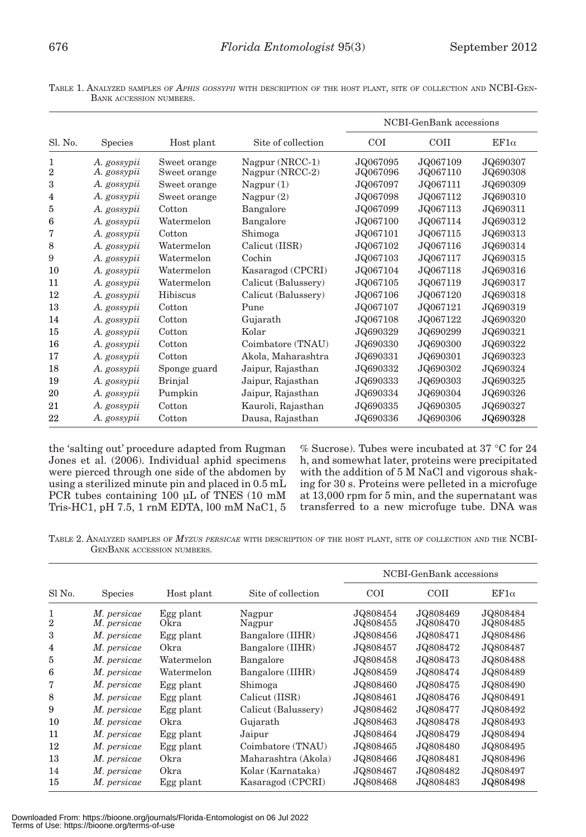TABLE 1. ANALYZED SAMPLES OF *APHIS GOSSYPII* WITH DESCRIPTION OF THE HOST PLANT, SITE OF COLLECTION AND NCBI-GEN-BANK ACCESSION NUMBERS.

|                     |                            |                              |                                    |                      | NCBI-GenBank accessions |                      |
|---------------------|----------------------------|------------------------------|------------------------------------|----------------------|-------------------------|----------------------|
| Sl. No.             | <b>Species</b>             | Host plant                   | Site of collection                 | <b>COI</b>           | COII                    | $EF1\alpha$          |
| 1<br>$\overline{2}$ | A. gossypii<br>A. gossypii | Sweet orange<br>Sweet orange | Nagpur (NRCC-1)<br>Nagpur (NRCC-2) | JQ067095<br>JQ067096 | JQ067109<br>JQ067110    | JQ690307<br>JQ690308 |
| 3                   | A. gossypii                | Sweet orange                 | Nagpur $(1)$                       | JQ067097             | JQ067111                | JQ690309             |
| 4                   | A. gossypii                | Sweet orange                 | Nagpur $(2)$                       | JQ067098             | JQ067112                | JQ690310             |
| 5                   | A. gossypii                | Cotton                       | Bangalore                          | JQ067099             | JQ067113                | JQ690311             |
| 6                   | A. gossypii                | Watermelon                   | Bangalore                          | JQ067100             | JQ067114                | JQ690312             |
| 7                   | A. gossypii                | Cotton                       | Shimoga                            | JQ067101             | JQ067115                | JQ690313             |
| 8                   | A. gossypii                | Watermelon                   | Calicut (IISR)                     | JQ067102             | JQ067116                | JQ690314             |
| 9                   | A. gossypii                | Watermelon                   | Cochin                             | JQ067103             | JQ067117                | JQ690315             |
| 10                  | A. gossypii                | Watermelon                   | Kasaragod (CPCRI)                  | JQ067104             | JQ067118                | JQ690316             |
| 11                  | A. gossypii                | Watermelon                   | Calicut (Balussery)                | JQ067105             | JQ067119                | JQ690317             |
| 12                  | A. gossypii                | Hibiscus                     | Calicut (Balussery)                | JQ067106             | JQ067120                | JQ690318             |
| 13                  | A. gossypii                | Cotton                       | Pune                               | JQ067107             | JQ067121                | JQ690319             |
| 14                  | A. gossypii                | Cotton                       | Gujarath                           | JQ067108             | JQ067122                | JQ690320             |
| 15                  | A. gossypii                | Cotton                       | Kolar                              | JQ690329             | JQ690299                | JQ690321             |
| 16                  | A. gossypii                | Cotton                       | Coimbatore (TNAU)                  | JQ690330             | JQ690300                | JQ690322             |
| 17                  | A. gossypii                | Cotton                       | Akola, Maharashtra                 | JQ690331             | JQ690301                | JQ690323             |
| 18                  | A. gossypii                | Sponge guard                 | Jaipur, Rajasthan                  | JQ690332             | JQ690302                | JQ690324             |
| 19                  | A. gossypii                | <b>Brinjal</b>               | Jaipur, Rajasthan                  | JQ690333             | JQ690303                | JQ690325             |
| 20                  | A. gossypii                | Pumpkin                      | Jaipur, Rajasthan                  | JQ690334             | JQ690304                | JQ690326             |
| 21                  | A. gossypii                | Cotton                       | Kauroli, Rajasthan                 | JQ690335             | JQ690305                | JQ690327             |
| 22                  | A. gossypii                | Cotton                       | Dausa, Rajasthan                   | JQ690336             | JQ690306                | JQ690328             |

the 'salting out' procedure adapted from Rugman Jones et al. (2006). Individual aphid specimens were pierced through one side of the abdomen by using a sterilized minute pin and placed in 0.5 mL PCR tubes containing 100 μL of TNES (10 mM Tris-HC1, pH 7.5, 1 rnM EDTA, l00 mM NaC1, 5

% Sucrose). Tubes were incubated at 37 °C for 24 h, and somewhat later, proteins were precipitated with the addition of 5 M NaCl and vigorous shaking for 30 s. Proteins were pelleted in a microfuge at 13,000 rpm for 5 min, and the supernatant was transferred to a new microfuge tube. DNA was

TABLE 2. ANALYZED SAMPLES OF *MYZUS PERSICAE* WITH DESCRIPTION OF THE HOST PLANT, SITE OF COLLECTION AND THE NCBI-GENBANK ACCESSION NUMBERS.

|                     |                            |                   |                     | NCBI-GenBank accessions |                      |                      |
|---------------------|----------------------------|-------------------|---------------------|-------------------------|----------------------|----------------------|
| Sl No.              | <b>Species</b>             | Host plant        | Site of collection  | <b>COI</b>              | <b>COII</b>          | $EF1\alpha$          |
| 1<br>$\overline{2}$ | M. persicae<br>M. persicae | Egg plant<br>Okra | Nagpur<br>Nagpur    | JQ808454<br>JQ808455    | JQ808469<br>JQ808470 | JQ808484<br>JQ808485 |
| 3                   | M. persicae                | Egg plant         | Bangalore (IIHR)    | JQ808456                | JQ808471             | JQ808486             |
| 4                   | M. persicae                | Okra              | Bangalore (IIHR)    | JQ808457                | JQ808472             | JQ808487             |
| 5                   | M. persicae                | Watermelon        | Bangalore           | JQ808458                | JQ808473             | JQ808488             |
| 6                   | M. persicae                | Watermelon        | Bangalore (IIHR)    | JQ808459                | JQ808474             | JQ808489             |
| 7                   | M. persicae                | Egg plant         | Shimoga             | JQ808460                | JQ808475             | JQ808490             |
| 8                   | M. persicae                | Egg plant         | Calicut (IISR)      | JQ808461                | JQ808476             | JQ808491             |
| 9                   | M. persicae                | Egg plant         | Calicut (Balussery) | JQ808462                | JQ808477             | JQ808492             |
| 10                  | M. persicae                | Okra              | Gujarath            | JQ808463                | JQ808478             | JQ808493             |
| 11                  | M. persicae                | Egg plant         | Jaipur              | JQ808464                | JQ808479             | JQ808494             |
| 12                  | M. persicae                | Egg plant         | Coimbatore (TNAU)   | JQ808465                | JQ808480             | JQ808495             |
| 13                  | M. persicae                | Okra              | Maharashtra (Akola) | JQ808466                | JQ808481             | JQ808496             |
| 14                  | M. persicae                | Okra              | Kolar (Karnataka)   | JQ808467                | JQ808482             | JQ808497             |
| 15                  | M. persicae                | Egg plant         | Kasaragod (CPCRI)   | JQ808468                | JQ808483             | JQ808498             |

Downloaded From: https://bioone.org/journals/Florida-Entomologist on 06 Jul 2022 Terms of Use: https://bioone.org/terms-of-use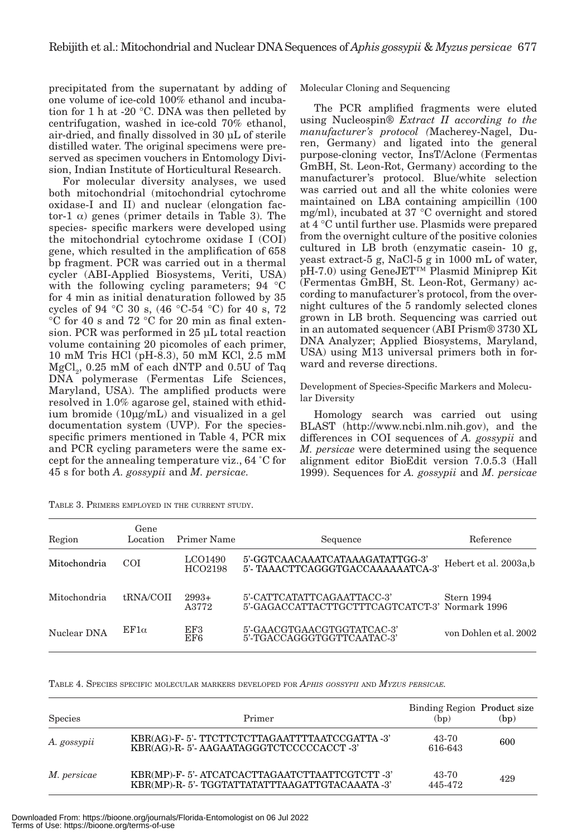precipitated from the supernatant by adding of one volume of ice-cold 100% ethanol and incubation for 1 h at -20 °C. DNA was then pelleted by centrifugation, washed in ice-cold 70% ethanol, air-dried, and finally dissolved in 30 μL of sterile distilled water. The original specimens were preserved as specimen vouchers in Entomology Division, Indian Institute of Horticultural Research.

For molecular diversity analyses, we used both mitochondrial (mitochondrial cytochrome oxidase-I and II) and nuclear (elongation factor-1  $\alpha$ ) genes (primer details in Table 3). The species- specific markers were developed using the mitochondrial cytochrome oxidase I (COI) gene, which resulted in the amplification of 658 bp fragment. PCR was carried out in a thermal cycler (ABI-Applied Biosystems, Veriti, USA) with the following cycling parameters; 94 °C for 4 min as initial denaturation followed by 35 cycles of 94 °C 30 s, (46 °C-54 °C) for 40 s, 72 °C for 40 s and 72 °C for 20 min as final extension. PCR was performed in 25 μL total reaction volume containing 20 picomoles of each primer, 10 mM Tris HCl (pH-8.3), 50 mM KCl, 2.5 mM  ${ {\rm MgCl}_2}, \, 0.25 \,$  mM of each dNTP and  $0.5{\rm U}$  of Taq DNA polymerase (Fermentas Life Sciences, Maryland, USA). The amplified products were resolved in 1.0% agarose gel, stained with ethidium bromide (10μg/mL) and visualized in a gel documentation system (UVP). For the speciesspecific primers mentioned in Table 4, PCR mix and PCR cycling parameters were the same except for the annealing temperature viz., 64 ˚C for 45 s for both *A. gossypii* and *M. persicae.*

| TABLE 3. PRIMERS EMPLOYED IN THE CURRENT STUDY. |
|-------------------------------------------------|
|-------------------------------------------------|

Molecular Cloning and Sequencing

The PCR amplified fragments were eluted using Nucleospin*® Extract II according to the manufacturer's protocol (*Macherey-Nagel, Duren, Germany) and ligated into the general purpose-cloning vector, InsT/Aclone (Fermentas GmBH, St. Leon-Rot, Germany) according to the manufacturer's protocol. Blue/white selection was carried out and all the white colonies were maintained on LBA containing ampicillin (100 mg/ml), incubated at 37 °C overnight and stored at 4 °C until further use. Plasmids were prepared from the overnight culture of the positive colonies cultured in LB broth (enzymatic casein- 10 g, yeast extract-5 g, NaCl-5 g in 1000 mL of water, pH-7.0) using GeneJET™ Plasmid Miniprep Kit (Fermentas GmBH, St. Leon-Rot, Germany) according to manufacturer's protocol, from the overnight cultures of the 5 randomly selected clones grown in LB broth. Sequencing was carried out in an automated sequencer (ABI Prism® 3730 XL DNA Analyzer; Applied Biosystems, Maryland, USA) using M13 universal primers both in forward and reverse directions.

Development of Species-Specific Markers and Molecular Diversity

Homology search was carried out using BLAST (http://www.ncbi.nlm.nih.gov), and the differences in COI sequences of *A. gossypii* and *M. persicae* were determined using the sequence alignment editor BioEdit version 7.0.5.3 (Hall 1999). Sequences for *A. gossypii* and *M. persicae*

| Region       | Gene<br>Location | Primer Name        | Sequence                                                                     | Reference              |
|--------------|------------------|--------------------|------------------------------------------------------------------------------|------------------------|
| Mitochondria | <b>COI</b>       | LCO1490<br>HCO2198 | 5'-GGTCAACAAATCATAAAGATATTGG-3'<br>5'- TAAACTTCAGGGTGACCAAAAAATCA-3'         | Hebert et al. 2003a,b  |
| Mitochondria | tRNA/COII        | $2993+$<br>A3772   | 5'-CATTCATATTCAGAATTACC-3'<br>5'-GAGACCATTACTTGCTTTCAGTCATCT-3' Normark 1996 | Stern 1994             |
| Nuclear DNA  | $EF1\alpha$      | EF3<br>EF6         | 5'-GAACGTGAACGTGGTATCAC-3'<br>5'-TGACCAGGGTGGTTCAATAC-3'                     | von Dohlen et al. 2002 |

TABLE 4. SPECIES SPECIFIC MOLECULAR MARKERS DEVELOPED FOR *APHIS GOSSYPII* AND *MYZUS PERSICAE.*

| <b>Species</b> | Primer                                                                                       | Binding Region Product size<br>(bp) | (bp) |
|----------------|----------------------------------------------------------------------------------------------|-------------------------------------|------|
| A. gossypii    | KBR(AG)-F-5'-TTCTTCTCTTAGAATTTTAATCCGATTA-3'<br>KBR(AG)-R-5'-AAGAATAGGGTCTCCCCCACCT-3'       | 43-70<br>616-643                    | 600  |
| M. persicae    | KBR(MP)-F-5'-ATCATCACTTAGAATCTTAATTCGTCTT-3'<br>KBR(MP)-R-5'-TGGTATTATATTTAAGATTGTACAAATA-3' | 43-70<br>445-472                    | 429  |

Downloaded From: https://bioone.org/journals/Florida-Entomologist on 06 Jul 2022 Terms of Use: https://bioone.org/terms-of-use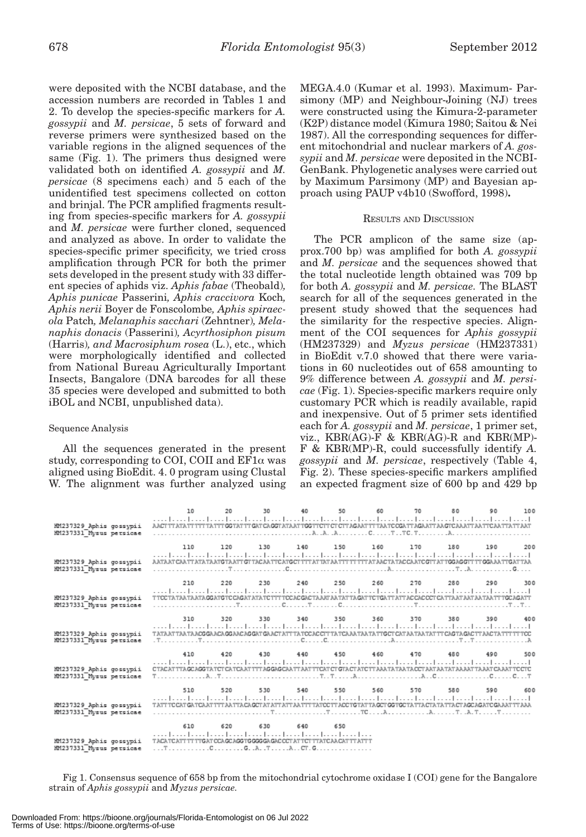were deposited with the NCBI database, and the accession numbers are recorded in Tables 1 and 2. To develop the species-specific markers for *A. gossypii* and *M. persicae*, 5 sets of forward and reverse primers were synthesized based on the variable regions in the aligned sequences of the same (Fig. 1). The primers thus designed were validated both on identified *A. gossypii* and *M. persicae* (8 specimens each) and 5 each of the unidentified test specimens collected on cotton and brinjal. The PCR amplified fragments resulting from species-specific markers for *A. gossypii* and *M. persicae* were further cloned, sequenced and analyzed as above. In order to validate the species-specific primer specificity, we tried cross amplification through PCR for both the primer sets developed in the present study with 33 different species of aphids viz. *Aphis fabae* (Theobald)*, Aphis punicae* Passerini*, Aphis craccivora* Koch*, Aphis nerii* Boyer de Fonscolombe*, Aphis spiraecola* Patch*, Melanaphis sacchari* (Zehntner)*, Melanaphis donacis* (Passerini)*, Acyrthosiphon pisum*  (Harris)*, and Macrosiphum rosea* (L.), etc., which were morphologically identified and collected from National Bureau Agriculturally Important Insects, Bangalore (DNA barcodes for all these 35 species were developed and submitted to both iBOL and NCBI, unpublished data).

# Sequence Analysis

All the sequences generated in the present study, corresponding to COI, COII and  $EFA$  was aligned using BioEdit. 4. 0 program using Clustal W. The alignment was further analyzed using MEGA.4.0 (Kumar et al. 1993). Maximum- Parsimony (MP) and Neighbour-Joining (NJ) trees were constructed using the Kimura-2-parameter (K2P) distance model (Kimura 1980; Saitou & Nei 1987). All the corresponding sequences for different mitochondrial and nuclear markers of *A. gossypii* and *M. persicae* were deposited in the NCBI-GenBank. Phylogenetic analyses were carried out by Maximum Parsimony (MP) and Bayesian approach using PAUP v4b10 (Swofford, 1998)**.**

### RESULTS AND DISCUSSION

The PCR amplicon of the same size (approx.700 bp) was amplified for both *A. gossypii*  and *M. persicae* and the sequences showed that the total nucleotide length obtained was 709 bp for both *A. gossypii* and *M. persicae.* The BLAST search for all of the sequences generated in the present study showed that the sequences had the similarity for the respective species. Alignment of the COI sequences for *Aphis gossypii* (HM237329) and *Myzus persicae* (HM237331) in BioEdit v.7.0 showed that there were variations in 60 nucleotides out of 658 amounting to 9% difference between *A. gossypii* and *M. persicae* (Fig. 1). Species-specific markers require only customary PCR which is readily available, rapid and inexpensive. Out of 5 primer sets identified each for *A. gossypii* and *M. persicae*, 1 primer set, viz.,  $KBR(AG)$ -F &  $KBR(AG)$ -R and  $KBR(MP)$ -F & KBR(MP)-R, could successfully identify *A. gossypii* and *M. persicae*, respectively (Table 4, Fig. 2). These species-specific markers amplified an expected fragment size of 600 bp and 429 bp

|                                                    | 10                                                                                                                                                                                                                                        | 20  |                                         | 30 40 50 60 70 80 90 100 |  |  |  |
|----------------------------------------------------|-------------------------------------------------------------------------------------------------------------------------------------------------------------------------------------------------------------------------------------------|-----|-----------------------------------------|--------------------------|--|--|--|
| HM237329 Aphis gossypii<br>HM237331 Mysus persicae | المتما وتما ومساحتها وتمارسوا وتمرا وتمرا وتمرا وتمرا وتمرا وتمرا وتمرا وتمامسا وتماسط وتباريها<br>AACT TT ATA TT TTT TA TTT GG TAT TT GAT CA GGT ATA AT TGG TTCTT CT CTT AGAAT TT TAA TC CGATT AGAATT AA GTC AAATT AA TTC AA TTA TT AAT  |     |                                         |                          |  |  |  |
|                                                    | 110                                                                                                                                                                                                                                       |     | 120 130 140 150 160 170 180 190 200     |                          |  |  |  |
| HM237329 Aphis gossypii<br>HM237331 Mysus persicae | المتما المتما المتما المتما المتما المتما المتما المتما لمتما المتما لمتما المتما المتما المتما المتما المتم<br>AATAAT CAATT ATA TAATG TAATT GT TACAATTCATGCT TTT AT TAT AATTT TT TTT AT AAC TATACCAATC GTT AT TGGAGGTT TT GGAAATTGAT TAA |     |                                         |                          |  |  |  |
|                                                    | 210                                                                                                                                                                                                                                       | 220 | 230 240 250 260 270 280 290 300         |                          |  |  |  |
| HM237329 Aphis gossypii<br>HM237331 Mysus persicae | المتطربينا المتطربين المتطربين المتمل لمتنا والمتحا والمناطق المتحا والمتحا والمحامي المتحا لمتحا لمتحا<br>TTCCTATAATAATAGGATGTCCAGATATATCTTTTCCACGACTAAATAATATTAGATTCTGATTATTACCACCCTCATTAATAATAATAATTTGCAGATT                           |     |                                         |                          |  |  |  |
|                                                    |                                                                                                                                                                                                                                           |     | 310 320 330 340 350 360 370 380 390 400 |                          |  |  |  |
| HM237329 Aphis gossypii<br>HM237331 Mysus persicae | المتما المتما المتما المتما المتمار لمنتمل لمتما المتمار لمتمار لمتمار لمتمار لمتمار لمتمار لمتمار لمتمار للمنا<br>TATAAT TAATAACGGAACAGGAACAGGAT GAACTATT TA TOCAC CIT TA TCAAA TAA TATTG CT CATAA TAT AT CAGTAGAC TT AAC TA TIT TT TCC  |     |                                         |                          |  |  |  |
|                                                    | 410                                                                                                                                                                                                                                       |     | 420 430 440 450 460 470 480 490 500     |                          |  |  |  |
| HM237329 Aphis gossypii<br>HM237331 Mysus persicae |                                                                                                                                                                                                                                           |     |                                         |                          |  |  |  |
|                                                    | 510                                                                                                                                                                                                                                       |     | 520 530 540 550 560 570 580 590 600     |                          |  |  |  |
| HM237329 Aphis gossypii<br>HM237331 Mysus persicae | بالمتنا ويتبارغ بماردتنا وتتنازعون المتنازعينا وتنبار وتنازعتنا وتتنازعون المتراسين والمنازعتين وتنازعت<br>TATT TC CAT GATCAAT TTT AA TTA CAGCT AT ATT ATT AATTT TATCC TT ACC TG TAT TAGCT GG TGC TATT ACT ATT ACT AGC AGATC GAAAT TT AAA |     |                                         |                          |  |  |  |
|                                                    | 610                                                                                                                                                                                                                                       | 620 | 630 640 650                             |                          |  |  |  |
| HM237329 Aphis gossvpii                            | وتمار ومنازعتها وممارستها وممارستا وممارستا وممارسته<br>TACA TCATT TT TTGAT CCA GCAGG TG GGG GA GAC CCT AT TCT TTATCAA CAT TT ATT T                                                                                                       |     |                                         |                          |  |  |  |
| HM237331 Mussic nercicae                           | TCC GATACTG                                                                                                                                                                                                                               |     |                                         |                          |  |  |  |

Fig 1. Consensus sequence of 658 bp from the mitochondrial cytochrome oxidase I (COI) gene for the Bangalore strain of *Aphis gossypii* and *Myzus persicae.*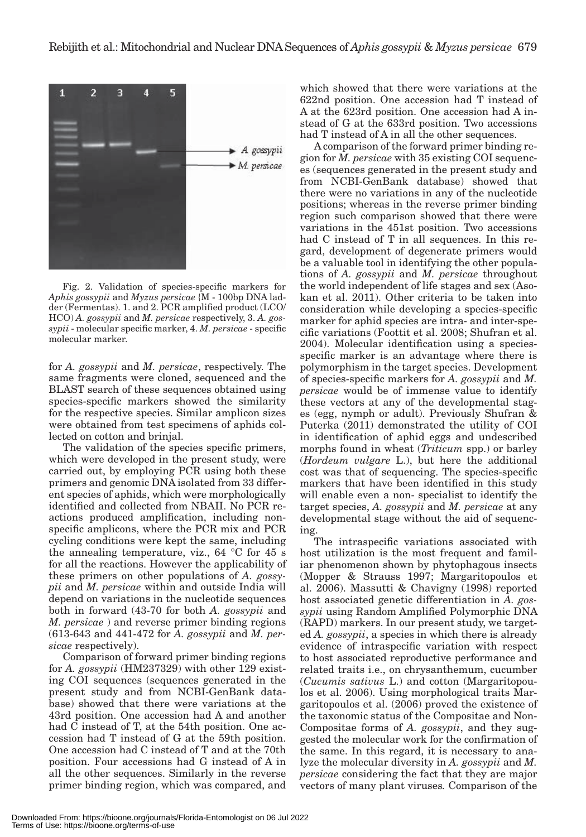

Fig. 2. Validation of species-specific markers for *Aphis gossypii* and *Myzus persicae* {M - 100bp DNA ladder (Fermentas). 1. and 2. PCR amplified product (LCO/ HCO) *A. gossypii* and *M. persicae* respectively, 3. *A. gossypii* - molecular specific marker, 4. *M. persicae* - specific molecular marker.

for *A. gossypii* and *M. persicae*, respectively. The same fragments were cloned, sequenced and the BLAST search of these sequences obtained using species-specific markers showed the similarity for the respective species. Similar amplicon sizes were obtained from test specimens of aphids collected on cotton and brinjal.

The validation of the species specific primers, which were developed in the present study, were carried out, by employing PCR using both these primers and genomic DNA isolated from 33 different species of aphids, which were morphologically identified and collected from NBAII. No PCR reactions produced amplification, including nonspecific amplicons, where the PCR mix and PCR cycling conditions were kept the same, including the annealing temperature, viz., 64 °C for 45 s for all the reactions. However the applicability of these primers on other populations of *A. gossypii* and *M. persicae* within and outside India will depend on variations in the nucleotide sequences both in forward (43-70 for both *A. gossypii* and *M. persicae* ) and reverse primer binding regions (613-643 and 441-472 for *A. gossypii* and *M. persicae* respectively).

Comparison of forward primer binding regions for *A. gossypii* (HM237329) with other 129 existing COI sequences (sequences generated in the present study and from NCBI-GenBank database) showed that there were variations at the 43rd position. One accession had A and another had C instead of T, at the 54th position. One accession had T instead of G at the 59th position. One accession had C instead of T and at the 70th position. Four accessions had G instead of A in all the other sequences. Similarly in the reverse primer binding region, which was compared, and

which showed that there were variations at the 622nd position. One accession had T instead of A at the 623rd position. One accession had A instead of G at the 633rd position. Two accessions had T instead of A in all the other sequences.

A comparison of the forward primer binding region for *M. persicae* with 35 existing COI sequences (sequences generated in the present study and from NCBI-GenBank database) showed that there were no variations in any of the nucleotide positions; whereas in the reverse primer binding region such comparison showed that there were variations in the 451st position. Two accessions had C instead of T in all sequences. In this regard, development of degenerate primers would be a valuable tool in identifying the other populations of *A. gossypii* and *M. persicae* throughout the world independent of life stages and sex (Asokan et al. 2011). Other criteria to be taken into consideration while developing a species-specific marker for aphid species are intra- and inter-specific variations (Foottit et al. 2008; Shufran et al. 2004). Molecular identification using a speciesspecific marker is an advantage where there is polymorphism in the target species. Development of species-specific markers for *A. gossypii* and *M. persicae* would be of immense value to identify these vectors at any of the developmental stages (egg, nymph or adult). Previously Shufran & Puterka (2011) demonstrated the utility of COI in identification of aphid eggs and undescribed morphs found in wheat (*Triticum* spp.) or barley (*Hordeum vulgare* L.), but here the additional cost was that of sequencing. The species-specific markers that have been identified in this study will enable even a non- specialist to identify the target species, *A. gossypii* and *M. persicae* at any developmental stage without the aid of sequencing.

The intraspecific variations associated with host utilization is the most frequent and familiar phenomenon shown by phytophagous insects (Mopper & Strauss 1997; Margaritopoulos et al. 2006). Massutti & Chavigny (1998) reported host associated genetic differentiation in *A. gossypii* using Random Amplified Polymorphic DNA (RAPD) markers. In our present study, we targeted *A. gossypii*, a species in which there is already evidence of intraspecific variation with respect to host associated reproductive performance and related traits i.e., on chrysanthemum, cucumber (*Cucumis sativus* L.) and cotton (Margaritopoulos et al. 2006). Using morphological traits Margaritopoulos et al. (2006) proved the existence of the taxonomic status of the Compositae and Non-Compositae forms of *A. gossypii*, and they suggested the molecular work for the confirmation of the same. In this regard, it is necessary to analyze the molecular diversity in *A. gossypii* and *M. persicae* considering the fact that they are major vectors of many plant viruses*.* Comparison of the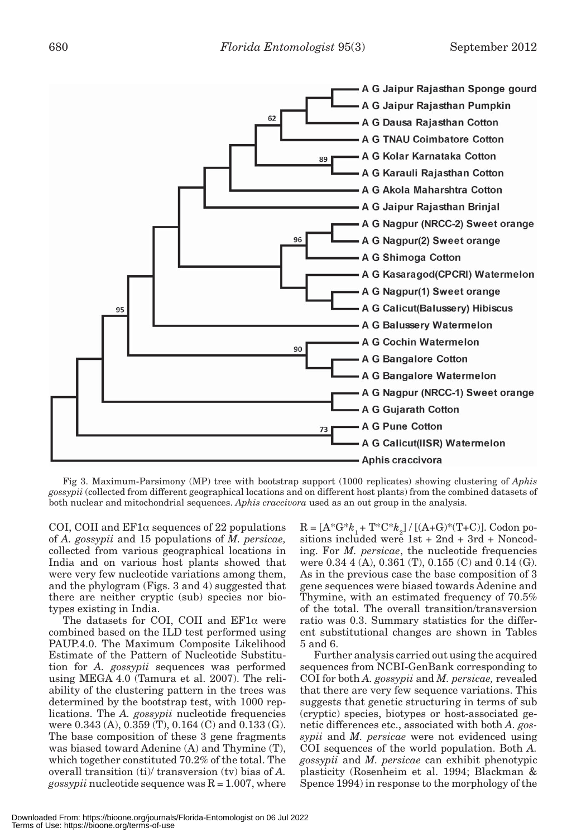

Fig 3. Maximum-Parsimony (MP) tree with bootstrap support (1000 replicates) showing clustering of *Aphis gossypii* (collected from different geographical locations and on different host plants) from the combined datasets of both nuclear and mitochondrial sequences. *Aphis craccivora* used as an out group in the analysis.

COI, COII and  $EFA$  sequences of 22 populations of *A. gossypii* and 15 populations of *M. persicae,*  collected from various geographical locations in India and on various host plants showed that were very few nucleotide variations among them, and the phylogram (Figs. 3 and 4) suggested that there are neither cryptic (sub) species nor biotypes existing in India.

The datasets for COI, COII and  $EFi\alpha$  were combined based on the ILD test performed using PAUP.4.0. The Maximum Composite Likelihood Estimate of the Pattern of Nucleotide Substitution for *A. gossypii* sequences was performed using MEGA 4.0 (Tamura et al. 2007). The reliability of the clustering pattern in the trees was determined by the bootstrap test, with 1000 replications. The *A. gossypii* nucleotide frequencies were 0.343 (A), 0.359 (T), 0.164 (C) and 0.133 (G). The base composition of these 3 gene fragments was biased toward Adenine (A) and Thymine (T), which together constituted 70.2% of the total. The overall transition (ti)/ transversion (tv) bias of *A. gossypii* nucleotide sequence was  $R = 1.007$ , where

 $R = [A^*G^*k_1 + T^*C^*k_2] / [(A+G)^*(T+C)].$  Codon positions included were 1st + 2nd + 3rd + Noncoding. For *M. persicae*, the nucleotide frequencies were 0.34 4 (A), 0.361 (T), 0.155 (C) and 0.14 (G). As in the previous case the base composition of 3 gene sequences were biased towards Adenine and Thymine, with an estimated frequency of 70.5% of the total. The overall transition/transversion ratio was 0.3. Summary statistics for the different substitutional changes are shown in Tables 5 and 6.

Further analysis carried out using the acquired sequences from NCBI-GenBank corresponding to COI for both *A. gossypii* and *M. persicae,* revealed that there are very few sequence variations. This suggests that genetic structuring in terms of sub (cryptic) species, biotypes or host-associated genetic differences etc., associated with both *A. gossypii* and *M. persicae* were not evidenced using COI sequences of the world population. Both *A. gossypii* and *M. persicae* can exhibit phenotypic plasticity (Rosenheim et al. 1994; Blackman & Spence 1994) in response to the morphology of the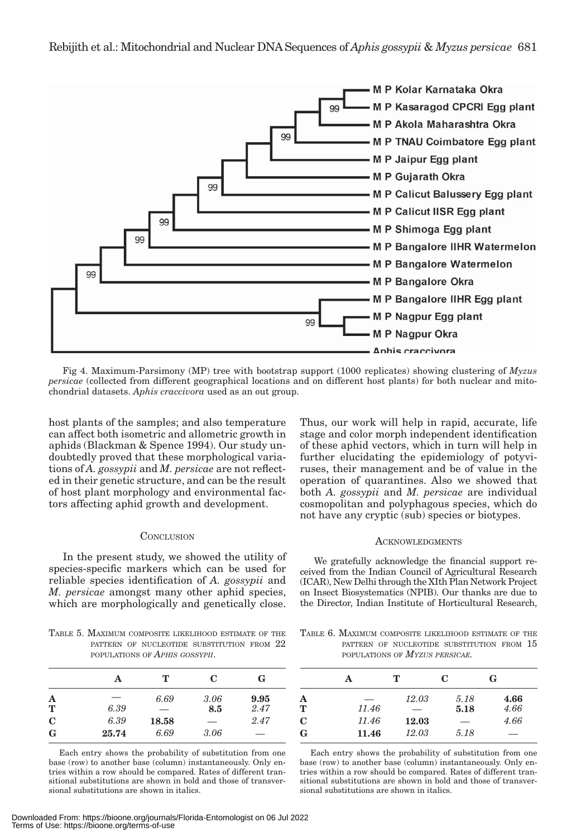

Fig 4. Maximum-Parsimony (MP) tree with bootstrap support (1000 replicates) showing clustering of *Myzus persicae* (collected from different geographical locations and on different host plants) for both nuclear and mitochondrial datasets. *Aphis craccivora* used as an out group.

host plants of the samples; and also temperature can affect both isometric and allometric growth in aphids (Blackman & Spence 1994). Our study undoubtedly proved that these morphological variations of *A. gossypii* and *M. persicae* are not reflected in their genetic structure, and can be the result of host plant morphology and environmental factors affecting aphid growth and development.

# **CONCLUSION**

In the present study, we showed the utility of species-specific markers which can be used for reliable species identification of *A. gossypii* and *M. persicae* amongst many other aphid species, which are morphologically and genetically close.

TABLE 5. MAXIMUM COMPOSITE LIKELIHOOD ESTIMATE OF THE PATTERN OF NUCLEOTIDE SUBSTITUTION FROM  $22$ POPULATIONS OF *APHIS GOSSYPII*.

|                      | А     | т     | C    | G    |
|----------------------|-------|-------|------|------|
| A                    | --    | 6.69  | 3.06 | 9.95 |
| $\tilde{\mathbf{T}}$ | 6.39  | --    | 8.5  | 2.47 |
| $\mathbf C$          | 6.39  | 18.58 | --   | 2.47 |
| G                    | 25.74 | 6.69  | 3.06 | _    |

Each entry shows the probability of substitution from one base (row) to another base (column) instantaneously. Only entries within a row should be compared. Rates of different transitional substitutions are shown in bold and those of transversional substitutions are shown in italics.

Thus, our work will help in rapid, accurate, life stage and color morph independent identification of these aphid vectors, which in turn will help in further elucidating the epidemiology of potyviruses, their management and be of value in the operation of quarantines. Also we showed that both *A. gossypii* and *M. persicae* are individual cosmopolitan and polyphagous species, which do not have any cryptic (sub) species or biotypes.

#### **ACKNOWLEDGMENTS**

We gratefully acknowledge the financial support received from the Indian Council of Agricultural Research (ICAR), New Delhi through the XIth Plan Network Project on Insect Biosystematics (NPIB). Our thanks are due to the Director, Indian Institute of Horticultural Research,

TABLE 6. MAXIMUM COMPOSITE LIKELIHOOD ESTIMATE OF THE PATTERN OF NUCLEOTIDE SUBSTITUTION FROM  $15$ POPULATIONS OF *MYZUS PERSICAE.*

|             | А     | т                        | C    | G    |
|-------------|-------|--------------------------|------|------|
| A           |       | 12.03                    | 5.18 | 4.66 |
| T           | 11.46 | $\overline{\phantom{0}}$ | 5.18 | 4.66 |
| $\mathbf C$ | 11.46 | 12.03                    | _    | 4.66 |
| G           | 11.46 | 12.03                    | 5.18 | _    |

Each entry shows the probability of substitution from one base (row) to another base (column) instantaneously. Only entries within a row should be compared. Rates of different transitional substitutions are shown in bold and those of transversional substitutions are shown in italics.